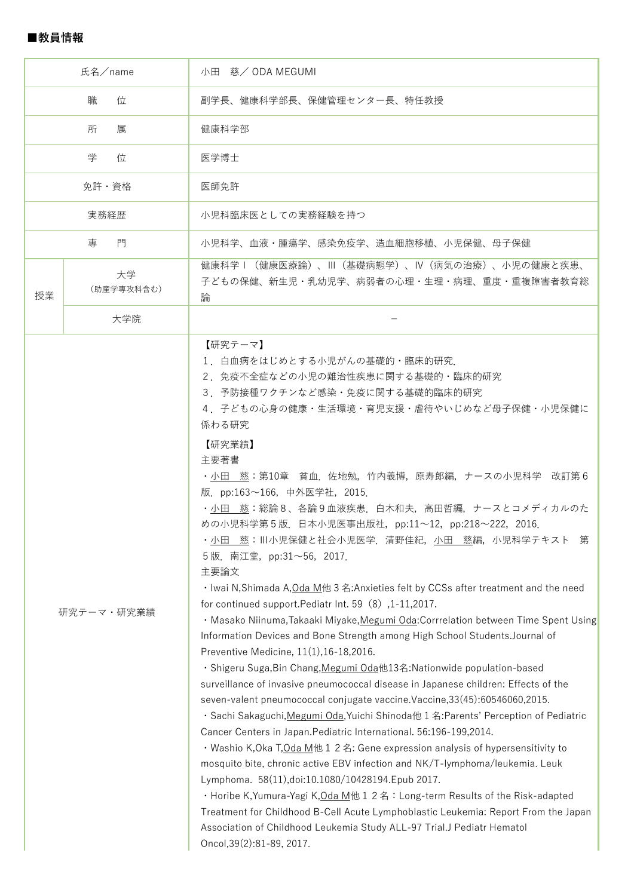| 氏名/name    |                  | 小田 – 慈/ ODA MEGUMI                                                                                                                                                                                                                                                                                                                                                                                                                                                                                                                                                                                                                                                                                                                                                                                                                                                                                                                                                                                                                                                                                                                                                                                                                                                                                                                                                                                                                                                                                                                                                                                                                                                                                                                                            |  |  |  |
|------------|------------------|---------------------------------------------------------------------------------------------------------------------------------------------------------------------------------------------------------------------------------------------------------------------------------------------------------------------------------------------------------------------------------------------------------------------------------------------------------------------------------------------------------------------------------------------------------------------------------------------------------------------------------------------------------------------------------------------------------------------------------------------------------------------------------------------------------------------------------------------------------------------------------------------------------------------------------------------------------------------------------------------------------------------------------------------------------------------------------------------------------------------------------------------------------------------------------------------------------------------------------------------------------------------------------------------------------------------------------------------------------------------------------------------------------------------------------------------------------------------------------------------------------------------------------------------------------------------------------------------------------------------------------------------------------------------------------------------------------------------------------------------------------------|--|--|--|
| 職<br>位     |                  | 副学長、健康科学部長、保健管理センター長、特任教授                                                                                                                                                                                                                                                                                                                                                                                                                                                                                                                                                                                                                                                                                                                                                                                                                                                                                                                                                                                                                                                                                                                                                                                                                                                                                                                                                                                                                                                                                                                                                                                                                                                                                                                                     |  |  |  |
|            | 所<br>属           | 健康科学部                                                                                                                                                                                                                                                                                                                                                                                                                                                                                                                                                                                                                                                                                                                                                                                                                                                                                                                                                                                                                                                                                                                                                                                                                                                                                                                                                                                                                                                                                                                                                                                                                                                                                                                                                         |  |  |  |
| 学<br>位     |                  | 医学博士                                                                                                                                                                                                                                                                                                                                                                                                                                                                                                                                                                                                                                                                                                                                                                                                                                                                                                                                                                                                                                                                                                                                                                                                                                                                                                                                                                                                                                                                                                                                                                                                                                                                                                                                                          |  |  |  |
| 免許・資格      |                  | 医師免許                                                                                                                                                                                                                                                                                                                                                                                                                                                                                                                                                                                                                                                                                                                                                                                                                                                                                                                                                                                                                                                                                                                                                                                                                                                                                                                                                                                                                                                                                                                                                                                                                                                                                                                                                          |  |  |  |
| 実務経歴       |                  | 小児科臨床医としての実務経験を持つ                                                                                                                                                                                                                                                                                                                                                                                                                                                                                                                                                                                                                                                                                                                                                                                                                                                                                                                                                                                                                                                                                                                                                                                                                                                                                                                                                                                                                                                                                                                                                                                                                                                                                                                                             |  |  |  |
| 門<br>専     |                  | 小児科学、血液・腫瘍学、感染免疫学、造血細胞移植、小児保健、母子保健                                                                                                                                                                                                                                                                                                                                                                                                                                                                                                                                                                                                                                                                                                                                                                                                                                                                                                                                                                                                                                                                                                                                                                                                                                                                                                                                                                                                                                                                                                                                                                                                                                                                                                                            |  |  |  |
| 授業         | 大学<br>(助産学専攻科含む) | 健康科学 I (健康医療論)、 III (基礎病態学)、 IV (病気の治療)、小児の健康と疾患、<br>子どもの保健、新生児・乳幼児学、病弱者の心理・生理・病理、重度・重複障害者教育総<br>論                                                                                                                                                                                                                                                                                                                                                                                                                                                                                                                                                                                                                                                                                                                                                                                                                                                                                                                                                                                                                                                                                                                                                                                                                                                                                                                                                                                                                                                                                                                                                                                                                                                            |  |  |  |
|            | 大学院              |                                                                                                                                                                                                                                                                                                                                                                                                                                                                                                                                                                                                                                                                                                                                                                                                                                                                                                                                                                                                                                                                                                                                                                                                                                                                                                                                                                                                                                                                                                                                                                                                                                                                                                                                                               |  |  |  |
| 研究テーマ・研究業績 |                  | 【研究テーマ】<br>1 自血病をはじめとする小児がんの基礎的・臨床的研究<br>2.免疫不全症などの小児の難治性疾患に関する基礎的・臨床的研究<br>3.予防接種ワクチンなど感染・免疫に関する基礎的臨床的研究<br>4.子どもの心身の健康・生活環境・育児支援・虐待やいじめなど母子保健・小児保健に<br>係わる研究<br>【研究業績】<br>主要著書<br>・小田 慈:第10章 貧血.佐地勉,竹内義博,原寿郎編,ナースの小児科学 改訂第6<br>版. pp:163~166,中外医学社,2015.<br>・小田 慈:総論8、各論9血液疾患.白木和夫,高田哲編,ナースとコメディカルのた<br>めの小児科学第5版. 日本小児医事出版社, pp:11~12, pp:218~222, 2016.<br>・ <u>小田 慈</u> :Ⅲ小児保健と社会小児医学. 清野佳紀, <u>小田 慈</u> 編, 小児科学テキスト<br>5版. 南江堂, pp:31~56, 2017.<br>主要論文<br>· Iwai N, Shimada A, Oda M他 3 名: Anxieties felt by CCSs after treatment and the need<br>for continued support. Pediatr Int. 59 $(8)$ , 1-11, 2017.<br>· Masako Niinuma, Takaaki Miyake, Megumi Oda: Corrrelation between Time Spent Using<br>Information Devices and Bone Strength among High School Students. Journal of<br>Preventive Medicine, 11(1), 16-18, 2016.<br>· Shigeru Suga, Bin Chang, Megumi Oda他13名: Nationwide population-based<br>surveillance of invasive pneumococcal disease in Japanese children: Effects of the<br>seven-valent pneumococcal conjugate vaccine. Vaccine, 33(45): 60546060, 2015.<br>· Sachi Sakaguchi, Megumi Oda, Yuichi Shinoda他 1名: Parents' Perception of Pediatric<br>Cancer Centers in Japan. Pediatric International. 56:196-199,2014.<br>· Washio K, Oka T, Oda M他 1 2 名: Gene expression analysis of hypersensitivity to<br>mosquito bite, chronic active EBV infection and NK/T-lymphoma/leukemia. Leuk<br>Lymphoma. 58(11), doi:10.1080/10428194. Epub 2017.<br>· Horibe K, Yumura-Yagi K, Oda M他 1 2名: Long-term Results of the Risk-adapted<br>Treatment for Childhood B-Cell Acute Lymphoblastic Leukemia: Report From the Japan<br>Association of Childhood Leukemia Study ALL-97 Trial.J Pediatr Hematol<br>Oncol, 39(2): 81-89, 2017. |  |  |  |